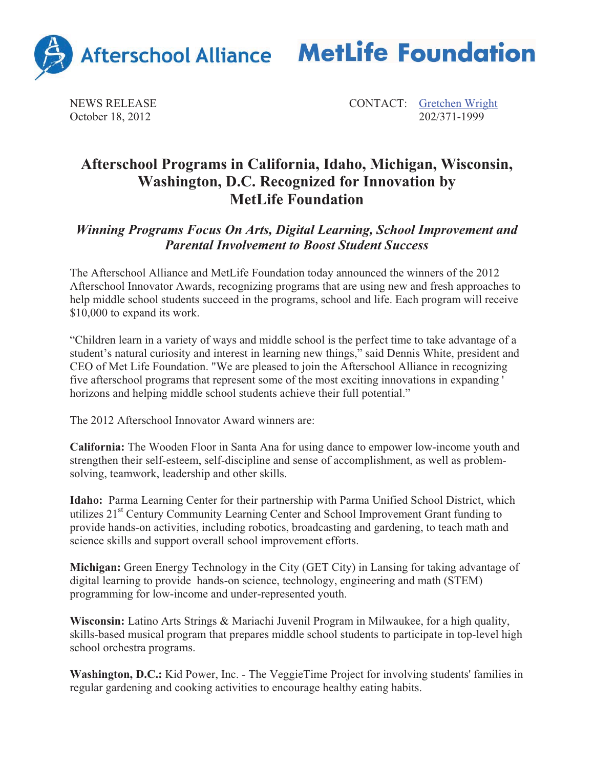



NEWS RELEASE CONTACT: Gretchen Wright October 18, 2012 202/371-1999

## **Afterschool Programs in California, Idaho, Michigan, Wisconsin, Washington, D.C. Recognized for Innovation by MetLife Foundation**

## *Winning Programs Focus On Arts, Digital Learning, School Improvement and Parental Involvement to Boost Student Success*

The Afterschool Alliance and MetLife Foundation today announced the winners of the 2012 Afterschool Innovator Awards, recognizing programs that are using new and fresh approaches to help middle school students succeed in the programs, school and life. Each program will receive \$10,000 to expand its work.

"Children learn in a variety of ways and middle school is the perfect time to take advantage of a student's natural curiosity and interest in learning new things," said Dennis White, president and CEO of Met Life Foundation. "We are pleased to join the Afterschool Alliance in recognizing five afterschool programs that represent some of the most exciting innovations in expanding ' horizons and helping middle school students achieve their full potential."

The 2012 Afterschool Innovator Award winners are:

**California:** The Wooden Floor in Santa Ana for using dance to empower low-income youth and strengthen their self-esteem, self-discipline and sense of accomplishment, as well as problemsolving, teamwork, leadership and other skills.

**Idaho:** Parma Learning Center for their partnership with Parma Unified School District, which utilizes 21<sup>st</sup> Century Community Learning Center and School Improvement Grant funding to provide hands-on activities, including robotics, broadcasting and gardening, to teach math and science skills and support overall school improvement efforts.

**Michigan:** Green Energy Technology in the City (GET City) in Lansing for taking advantage of digital learning to provide hands-on science, technology, engineering and math (STEM) programming for low-income and under-represented youth.

**Wisconsin:** Latino Arts Strings & Mariachi Juvenil Program in Milwaukee, for a high quality, skills-based musical program that prepares middle school students to participate in top-level high school orchestra programs.

**Washington, D.C.:** Kid Power, Inc. - The VeggieTime Project for involving students' families in regular gardening and cooking activities to encourage healthy eating habits.